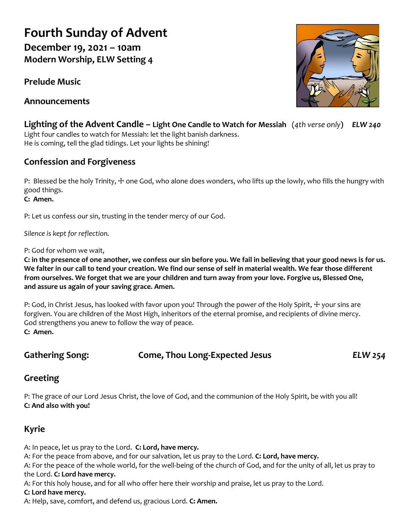# **Fourth Sunday of Advent**

**December 19, 2021 – 10am Modern Worship, ELW Setting 4**

**Prelude Music**

**Announcements**



**Lighting of the Advent Candle – Light One Candle to Watch for Messiah** (*4th verse only***)** *ELW 240* Light four candles to watch for Messiah: let the light banish darkness. He is coming, tell the glad tidings. Let your lights be shining!

# **Confession and Forgiveness**

P: Blessed be the holy Trinity,  $\pm$  one God, who alone does wonders, who lifts up the lowly, who fills the hungry with good things.

**C: Amen.**

P: Let us confess our sin, trusting in the tender mercy of our God.

*Silence is kept for reflection.*

P: God for whom we wait,

**C: in the presence of one another, we confess our sin before you. We fail in believing that your good news is for us. We falter in our call to tend your creation. We find our sense of self in material wealth. We fear those different from ourselves. We forget that we are your children and turn away from your love. Forgive us, Blessed One, and assure us again of your saving grace. Amen.**

P: God, in Christ Jesus, has looked with favor upon you! Through the power of the Holy Spirit,  $∔$  your sins are forgiven. You are children of the Most High, inheritors of the eternal promise, and recipients of divine mercy. God strengthens you anew to follow the way of peace. **C: Amen.**

#### **Gathering Song: Come, Thou Long-Expected Jesus** *ELW 254*

## **Greeting**

P: The grace of our Lord Jesus Christ, the love of God, and the communion of the Holy Spirit, be with you all! **C: And also with you!**

# **Kyrie**

A: In peace, let us pray to the Lord. **C: Lord, have mercy.**

A: For the peace from above, and for our salvation, let us pray to the Lord. **C: Lord, have mercy.**

A: For the peace of the whole world, for the well-being of the church of God, and for the unity of all, let us pray to the Lord. **C: Lord have mercy.**

A: For this holy house, and for all who offer here their worship and praise, let us pray to the Lord.

#### **C: Lord have mercy.**

A: Help, save, comfort, and defend us, gracious Lord. **C: Amen.**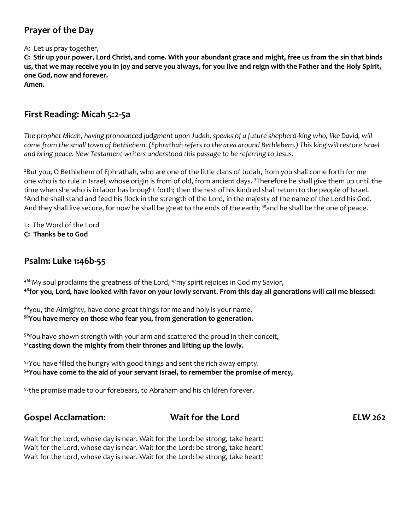## **Prayer of the Day**

A: Let us pray together,

**C: Stir up your power, Lord Christ, and come. With your abundant grace and might, free us from the sin that binds us, that we may receive you in joy and serve you always, for you live and reign with the Father and the Holy Spirit, one God, now and forever.**

**Amen.**

#### **First Reading: Micah 5:2-5a**

The prophet Micah, having pronounced judgment upon Judah, speaks of a future shepherd-king who, like David, will *come from the small town of Bethlehem. (Ephrathah refers to the area around Bethlehem.) This king will restore Israel and bring peace. New Testament writers understood this passage to be referring to Jesus.*

<sup>2</sup>But you, O Bethlehem of Ephrathah, who are one of the little clans of Judah, from you shall come forth for me one who is to rule in Israel, whose origin is from of old, from ancient days. <sup>3</sup>Therefore he shall give them up until the time when she who is in labor has brought forth; then the rest of his kindred shall return to the people of Israel. <sup>4</sup>And he shall stand and feed his flock in the strength of the Lord, in the majesty of the name of the Lord his God. And they shall live secure, for now he shall be great to the ends of the earth; <sup>5a</sup>and he shall be the one of peace.

L: The Word of the Lord

**C: Thanks be to God**

#### **Psalm: Luke 1:46b-55**

 $46b$ My soul proclaims the greatness of the Lord,  $47m$ y spirit rejoices in God my Savior, **<sup>48</sup>for you, Lord, have looked with favor on your lowly servant. From this day all generations will call me blessed:**

<sup>49</sup>you, the Almighty, have done great things for me and holy is your name. **<sup>50</sup>You have mercy on those who fear you, from generation to generation.**

<sup>51</sup>You have shown strength with your arm and scattered the proud in their conceit, **<sup>52</sup>casting down the mighty from their thrones and lifting up the lowly.**

<sup>53</sup>You have filled the hungry with good things and sent the rich away empty. **<sup>54</sup>You have come to the aid of your servant Israel, to remember the promise of mercy,**

<sup>55</sup>the promise made to our forebears, to Abraham and his children forever.

#### **Gospel Acclamation: Wait for the Lord** *ELW 262*

Wait for the Lord, whose day is near. Wait for the Lord: be strong, take heart! Wait for the Lord, whose day is near. Wait for the Lord: be strong, take heart! Wait for the Lord, whose day is near. Wait for the Lord: be strong, take heart!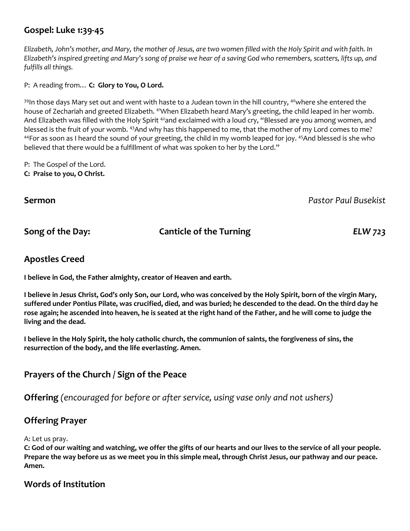### **Gospel: Luke 1:39-45**

*Elizabeth, John's mother, and Mary, the mother of Jesus, are two women filled with the Holy Spirit and with faith. In Elizabeth's inspired greeting and Mary's song of praise we hear of a saving God who remembers, scatters, lifts up, and fulfills all things.*

P: A reading from… **C: Glory to You, O Lord.**

 $39$ In those days Mary set out and went with haste to a Judean town in the hill country,  $40$ where she entered the house of Zechariah and greeted Elizabeth. <sup>41</sup>When Elizabeth heard Mary's greeting, the child leaped in her womb. And Elizabeth was filled with the Holy Spirit <sup>42</sup>and exclaimed with a loud cry, "Blessed are you among women, and blessed is the fruit of your womb. <sup>43</sup>And why has this happened to me, that the mother of my Lord comes to me? 44For as soon as I heard the sound of your greeting, the child in my womb leaped for joy. 45And blessed is she who believed that there would be a fulfillment of what was spoken to her by the Lord."

P: The Gospel of the Lord. **C: Praise to you, O Christ.**

**Sermon** *Pastor Paul Busekist*

#### **Song of the Day: Canticle of the Turning** *ELW 723*

#### **Apostles Creed**

**I believe in God, the Father almighty, creator of Heaven and earth.** 

**I believe in Jesus Christ, God's only Son, our Lord, who was conceived by the Holy Spirit, born of the virgin Mary, suffered under Pontius Pilate, was crucified, died, and was buried; he descended to the dead. On the third day he rose again; he ascended into heaven, he is seated at the right hand of the Father, and he will come to judge the living and the dead.**

**I believe in the Holy Spirit, the holy catholic church, the communion of saints, the forgiveness of sins, the resurrection of the body, and the life everlasting. Amen.**

#### **Prayers of the Church / Sign of the Peace**

**Offering** *(encouraged for before or after service, using vase only and not ushers)*

#### **Offering Prayer**

A: Let us pray.

**C: God of our waiting and watching, we offer the gifts of our hearts and our lives to the service of all your people. Prepare the way before us as we meet you in this simple meal, through Christ Jesus, our pathway and our peace. Amen.**

#### **Words of Institution**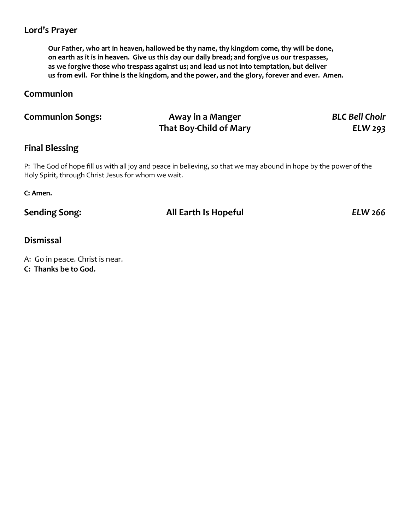## **Lord's Prayer**

**Our Father, who art in heaven, hallowed be thy name, thy kingdom come, thy will be done, on earth as it is in heaven. Give us this day our daily bread; and forgive us our trespasses, as we forgive those who trespass against us; and lead us not into temptation, but deliver us from evil. For thine is the kingdom, and the power, and the glory, forever and ever. Amen.**

## **Communion**

| <b>Communion Songs:</b> | Away in a Manger              | <b>BLC Bell Choir</b> |
|-------------------------|-------------------------------|-----------------------|
|                         | <b>That Boy-Child of Mary</b> | ELW 293               |

#### **Final Blessing**

P: The God of hope fill us with all joy and peace in believing, so that we may abound in hope by the power of the Holy Spirit, through Christ Jesus for whom we wait.

**C: Amen.**

#### **Sending Song: All Earth Is Hopeful** *ELW 266*

#### **Dismissal**

A: Go in peace. Christ is near.

**C: Thanks be to God.**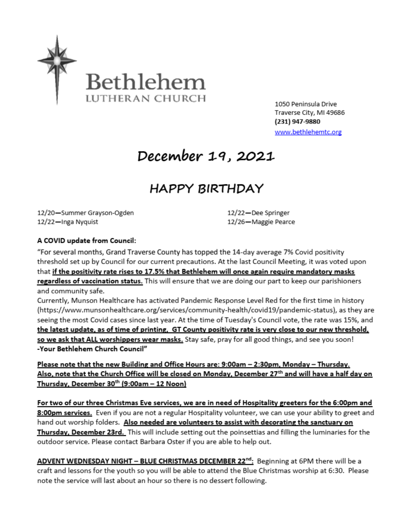

1050 Peninsula Drive Traverse City, MI 49686 (231) 947-9880 www.bethlehemtc.org

# December 19, 2021

# **HAPPY BIRTHDAY**

12/20-Summer Grayson-Ogden 12/22-Inga Nyquist

12/22-Dee Springer 12/26-Maggie Pearce

#### A COVID update from Council:

"For several months, Grand Traverse County has topped the 14-day average 7% Covid positivity threshold set up by Council for our current precautions. At the last Council Meeting, it was voted upon that if the positivity rate rises to 17.5% that Bethlehem will once again require mandatory masks regardless of vaccination status. This will ensure that we are doing our part to keep our parishioners and community safe.

Currently, Munson Healthcare has activated Pandemic Response Level Red for the first time in history (https://www.munsonhealthcare.org/services/community-health/covid19/pandemic-status), as they are seeing the most Covid cases since last year. At the time of Tuesday's Council vote, the rate was 15%, and the latest update, as of time of printing, GT County positivity rate is very close to our new threshold, so we ask that ALL worshippers wear masks. Stay safe, pray for all good things, and see you soon! -Your Bethlehem Church Council"

Please note that the new Building and Office Hours are: 9:00am - 2:30pm, Monday - Thursday. Also, note that the Church Office will be closed on Monday, December 27<sup>th</sup> and will have a half day on Thursday, December 30th (9:00am - 12 Noon)

For two of our three Christmas Eve services, we are in need of Hospitality greeters for the 6:00pm and 8:00pm services. Even if you are not a regular Hospitality volunteer, we can use your ability to greet and hand out worship folders. Also needed are volunteers to assist with decorating the sanctuary on Thursday, December 23rd. This will include setting out the poinsettias and filling the luminaries for the outdoor service. Please contact Barbara Oster if you are able to help out.

ADVENT WEDNESDAY NIGHT - BLUE CHRISTMAS DECEMBER 22<sup>nd</sup>: Beginning at 6PM there will be a craft and lessons for the youth so you will be able to attend the Blue Christmas worship at 6:30. Please note the service will last about an hour so there is no dessert following.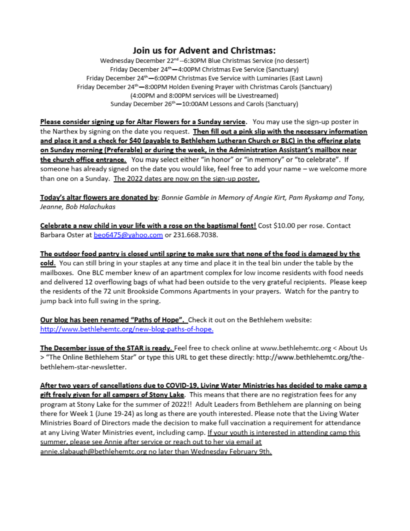### Join us for Advent and Christmas:

Wednesday December 22<sup>nd</sup> --6:30PM Blue Christmas Service (no dessert) Friday December 24<sup>th</sup> -4:00PM Christmas Eve Service (Sanctuary) Friday December 24<sup>th</sup> -6:00PM Christmas Eve Service with Luminaries (East Lawn) Friday December 24<sup>th</sup> -8:00PM Holden Evening Prayer with Christmas Carols (Sanctuary) (4:00PM and 8:00PM services will be Livestreamed) Sunday December 26<sup>th</sup> - 10:00AM Lessons and Carols (Sanctuary)

Please consider signing up for Altar Flowers for a Sunday service. You may use the sign-up poster in the Narthex by signing on the date you request. Then fill out a pink slip with the necessary information and place it and a check for \$40 (payable to Bethlehem Lutheran Church or BLC) in the offering plate on Sunday morning (Preferable) or during the week, in the Administration Assistant's mailbox near the church office entrance. You may select either "in honor" or "in memory" or "to celebrate". If someone has already signed on the date you would like, feel free to add your name – we welcome more than one on a Sunday. The 2022 dates are now on the sign-up poster.

Today's altar flowers are donated by: Bonnie Gamble in Memory of Angie Kirt, Pam Ryskamp and Tony, Jeanne, Bob Halachukas

Celebrate a new child in your life with a rose on the baptismal font! Cost \$10.00 per rose. Contact Barbara Oster at beo6475@yahoo.com or 231.668.7038.

The outdoor food pantry is closed until spring to make sure that none of the food is damaged by the cold. You can still bring in your staples at any time and place it in the teal bin under the table by the mailboxes. One BLC member knew of an apartment complex for low income residents with food needs and delivered 12 overflowing bags of what had been outside to the very grateful recipients. Please keep the residents of the 72 unit Brookside Commons Apartments in your prayers. Watch for the pantry to jump back into full swing in the spring.

Our blog has been renamed "Paths of Hope". Check it out on the Bethlehem website: http://www.bethlehemtc.org/new-blog-paths-of-hope.

The December issue of the STAR is ready. Feel free to check online at www.bethlehemtc.org < About Us > "The Online Bethlehem Star" or type this URL to get these directly: http://www.bethlehemtc.org/thebethlehem-star-newsletter.

After two years of cancellations due to COVID-19, Living Water Ministries has decided to make camp a gift freely given for all campers of Stony Lake. This means that there are no registration fees for any program at Stony Lake for the summer of 2022!! Adult Leaders from Bethlehem are planning on being there for Week 1 (June 19-24) as long as there are youth interested. Please note that the Living Water Ministries Board of Directors made the decision to make full vaccination a requirement for attendance at any Living Water Ministries event, including camp. If your youth is interested in attending camp this summer, please see Annie after service or reach out to her via email at annie.slabaugh@bethlehemtc.org no later than Wednesday February 9th.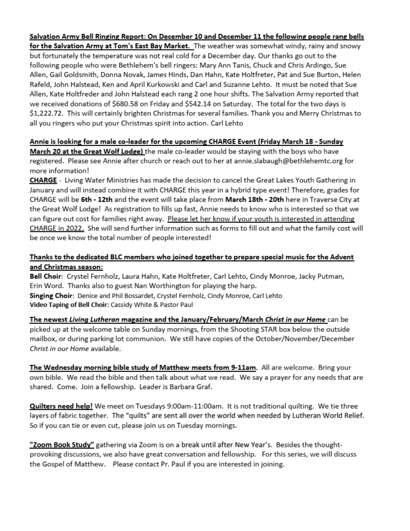# Salvation Army Bell Ringing Report: On December 10 and December 11 the following people rang bells

for the Salvation Army at Tom's East Bay Market. The weather was somewhat windy, rainy and snowy but fortunately the temperature was not real cold for a December day. Our thanks go out to the following people who were Bethlehem's bell ringers: Mary Ann Tanis, Chuck and Chris Ardingo, Sue Allen, Gail Goldsmith, Donna Novak, James Hinds, Dan Hahn, Kate Holtfreter, Pat and Sue Burton, Helen Rafeld, John Halstead, Ken and April Kurkowski and Carl and Suzanne Lehto. It must be noted that Sue Allen, Kate Holtfreder and John Halstead each rang 2 one hour shifts. The Salvation Army reported that we received donations of \$680.58 on Friday and \$542.14 on Saturday. The total for the two days is \$1,222.72. This will certainly brighten Christmas for several families. Thank you and Merry Christmas to all you ringers who put your Christmas spirit into action. Carl Lehto

#### Annie is looking for a male co-leader for the upcoming CHARGE Event (Friday March 18 - Sunday

March 20 at the Great Wolf Lodge) the male co-leader would be staying with the boys who have registered. Please see Annie after church or reach out to her at annie.slabaugh@bethlehemtc.org for more information!

CHARGE - Living Water Ministries has made the decision to cancel the Great Lakes Youth Gathering in January and will instead combine it with CHARGE this year in a hybrid type event! Therefore, grades for CHARGE will be 6th - 12th and the event will take place from March 18th - 20th here in Traverse City at the Great Wolf Lodge! As registration to fills up fast, Annie needs to know who is interested so that we can figure out cost for families right away. Please let her know if your youth is interested in attending CHARGE in 2022. She will send further information such as forms to fill out and what the family cost will be once we know the total number of people interested!

#### Thanks to the dedicated BLC members who joined together to prepare special music for the Advent and Christmas season:

Bell Choir: Crystel Fernholz, Laura Hahn, Kate Holtfreter, Carl Lehto, Cindy Monroe, Jacky Putman, Erin Word. Thanks also to guest Nan Worthington for playing the harp. Singing Choir: Denice and Phil Bossardet, Crystel Fernholz, Cindy Monroe, Carl Lehto Video Taping of Bell Choir: Cassidy White & Pastor Paul

The newest Living Lutheran magazine and the January/February/March Christ in our Home can be picked up at the welcome table on Sunday mornings, from the Shooting STAR box below the outside mailbox, or during parking lot communion. We still have copies of the October/November/December Christ in our Home available.

The Wednesday morning bible study of Matthew meets from 9-11am. All are welcome. Bring your own bible. We read the bible and then talk about what we read. We say a prayer for any needs that are shared. Come. Join a fellowship. Leader is Barbara Graf.

Quilters need help! We meet on Tuesdays 9:00am-11:00am. It is not traditional quilting. We tie three layers of fabric together. The "quilts" are sent all over the world when needed by Lutheran World Relief. So if you can tie or even cut, please join us on Tuesday mornings.

"Zoom Book Study" gathering via Zoom is on a break until after New Year's. Besides the thoughtprovoking discussions, we also have great conversation and fellowship. For this series, we will discuss the Gospel of Matthew. Please contact Pr. Paul if you are interested in joining.